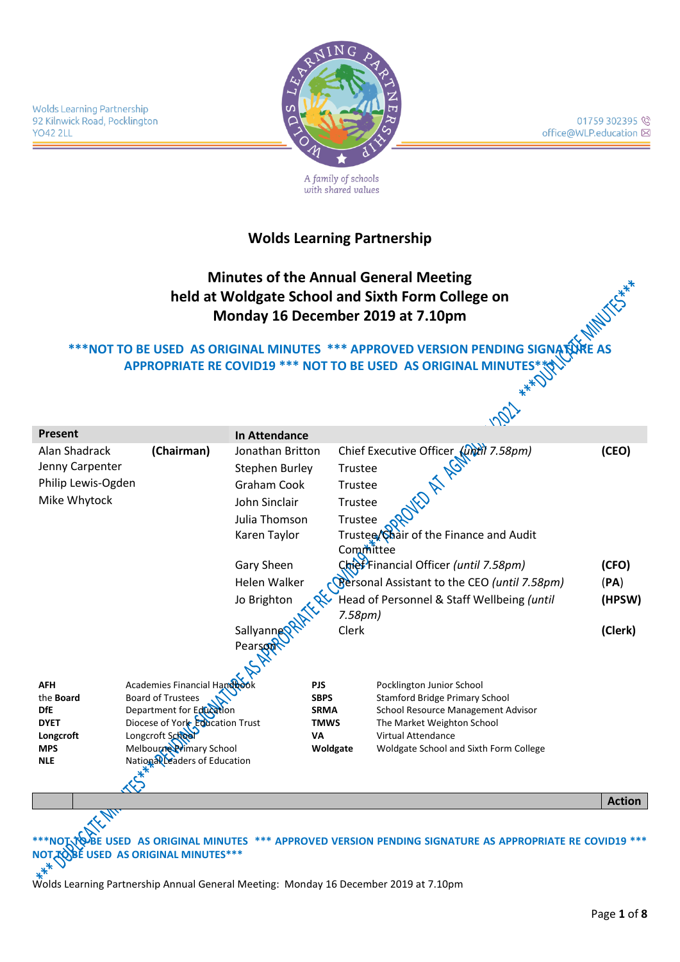

01759 302395 office@WLP.education ⊠

A family of schools with shared values

#### **Wolds Learning Partnership**

# **Minutes of the Annual General Meeting held at Woldgate School and Sixth Form College on Monday 16 December 2019 at 7.10pm**

#### **\*\*\*NOT TO BE USED AS ORIGINAL MINUTES \*\*\* APPROVED VERSION PENDING SIGNATURE AS** APPROPRIATE RE COVID19 \*\*\* NOT TO BE USED AS ORIGINAL MINUTES\*<del>\</del>

|                             |                                    |                      |             | V IXI                                                                                      |               |
|-----------------------------|------------------------------------|----------------------|-------------|--------------------------------------------------------------------------------------------|---------------|
| <b>Present</b>              |                                    | <b>In Attendance</b> |             |                                                                                            |               |
| (Chairman)<br>Alan Shadrack |                                    | Jonathan Britton     |             |                                                                                            | (CEO)         |
| Jenny Carpenter             |                                    | Stephen Burley       |             |                                                                                            |               |
| Philip Lewis-Ogden          |                                    | Graham Cook          |             | Chief Executive Officer ( <i>Until 7.58pm)</i><br>Trustee<br>Trustee<br>Trustee ( <i>N</i> |               |
| Mike Whytock                |                                    | John Sinclair        |             | Trustee                                                                                    |               |
|                             |                                    | Julia Thomson        |             | Trustee                                                                                    |               |
|                             |                                    | Karen Taylor         |             | Trustee/Chair of the Finance and Audit                                                     |               |
|                             |                                    |                      |             | Committee                                                                                  |               |
|                             |                                    | Gary Sheen           |             | Chief Financial Officer (until 7.58pm)                                                     | (CFO)         |
|                             |                                    |                      |             |                                                                                            |               |
|                             |                                    | Helen Walker         |             | <b>Reffright</b> Resolution Assistant to the CEO (until 7.58pm)                            | (PA)          |
|                             |                                    | Jo Brighton          |             | Head of Personnel & Staff Wellbeing (until                                                 | (HPSW)        |
|                             |                                    |                      |             | 7.58 <sub>pm</sub>                                                                         |               |
|                             |                                    | Sallyannes           |             | Clerk                                                                                      | (Clerk)       |
|                             |                                    | Pearson              |             |                                                                                            |               |
|                             |                                    |                      |             |                                                                                            |               |
| <b>AFH</b>                  | Academies Financial Handbor        |                      | <b>PJS</b>  |                                                                                            |               |
| the <b>Board</b>            | <b>Board of Trustees</b>           |                      | <b>SBPS</b> | Pocklington Junior School<br><b>Stamford Bridge Primary School</b>                         |               |
| <b>DfE</b>                  | Department for Education           |                      | <b>SRMA</b> | School Resource Management Advisor                                                         |               |
| <b>DYET</b>                 | Diocese of York Education Trust    |                      | <b>TMWS</b> | The Market Weighton School                                                                 |               |
| Longcroft                   | Longcroft School                   |                      | <b>VA</b>   | <b>Virtual Attendance</b>                                                                  |               |
| <b>MPS</b>                  | Melbourne Primary School           |                      | Woldgate    | Woldgate School and Sixth Form College                                                     |               |
| <b>NLE</b>                  | National Leaders of Education      |                      |             |                                                                                            |               |
|                             |                                    |                      |             |                                                                                            |               |
|                             |                                    |                      |             |                                                                                            | <b>Action</b> |
|                             |                                    |                      |             |                                                                                            |               |
|                             |                                    |                      |             |                                                                                            |               |
|                             |                                    |                      |             | USED AS ORIGINAL MINUTES *** APPROVED VERSION PENDING SIGNATURE AS APPROPRIATE RE COVID19  |               |
|                             | <b>ISED AS ORIGINAL MINUTES***</b> |                      |             |                                                                                            |               |
|                             |                                    |                      |             |                                                                                            |               |
|                             |                                    |                      |             |                                                                                            |               |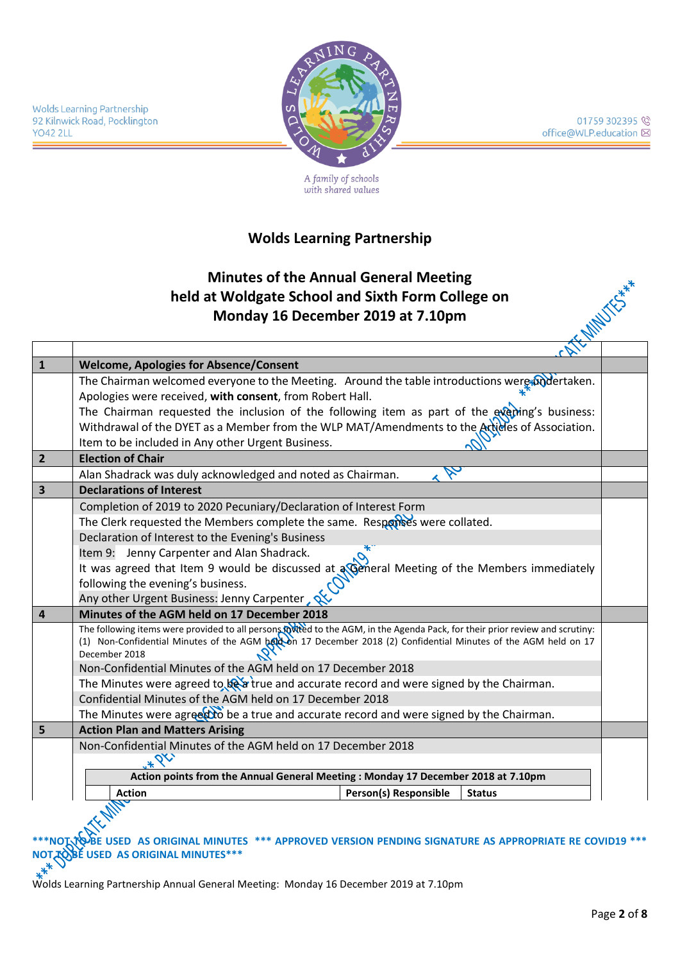

01759 302395 office@WLP.education ⊠

A family of schools with shared values

#### **Wolds Learning Partnership**

#### **Minutes of the Annual General Meeting held at Woldgate School and Sixth Form College on Monday 16 December 2019 at 7.10pm**

| $\mathbf{1}$            | <b>Welcome, Apologies for Absence/Consent</b>                                                                                  |  |  |  |  |  |  |
|-------------------------|--------------------------------------------------------------------------------------------------------------------------------|--|--|--|--|--|--|
|                         | The Chairman welcomed everyone to the Meeting. Around the table introductions were podertaken.                                 |  |  |  |  |  |  |
|                         | Apologies were received, with consent, from Robert Hall.                                                                       |  |  |  |  |  |  |
|                         | The Chairman requested the inclusion of the following item as part of the everying's business:                                 |  |  |  |  |  |  |
|                         | Withdrawal of the DYET as a Member from the WLP MAT/Amendments to the Arcticles of Association.                                |  |  |  |  |  |  |
|                         | Item to be included in Any other Urgent Business.                                                                              |  |  |  |  |  |  |
| $\overline{2}$          | <b>Election of Chair</b>                                                                                                       |  |  |  |  |  |  |
|                         | Alan Shadrack was duly acknowledged and noted as Chairman.                                                                     |  |  |  |  |  |  |
| $\overline{\mathbf{3}}$ | <b>Declarations of Interest</b>                                                                                                |  |  |  |  |  |  |
|                         | Completion of 2019 to 2020 Pecuniary/Declaration of Interest Form                                                              |  |  |  |  |  |  |
|                         | The Clerk requested the Members complete the same. Responses were collated.                                                    |  |  |  |  |  |  |
|                         | Declaration of Interest to the Evening's Business                                                                              |  |  |  |  |  |  |
|                         | *`<br>Item 9: Jenny Carpenter and Alan Shadrack.                                                                               |  |  |  |  |  |  |
|                         | It was agreed that Item 9 would be discussed at <b><i>official Meeting of the Members immediately</i></b>                      |  |  |  |  |  |  |
|                         | following the evening's business.                                                                                              |  |  |  |  |  |  |
|                         | Any other Urgent Business: Jenny Carpenter,                                                                                    |  |  |  |  |  |  |
| $\overline{4}$          | Minutes of the AGM held on 17 December 2018                                                                                    |  |  |  |  |  |  |
|                         | The following items were provided to all persons forted to the AGM, in the Agenda Pack, for their prior review and scrutiny:   |  |  |  |  |  |  |
|                         | (1) Non-Confidential Minutes of the AGM below 17 December 2018 (2) Confidential Minutes of the AGM held on 17<br>December 2018 |  |  |  |  |  |  |
|                         | Non-Confidential Minutes of the AGM held on 17 December 2018                                                                   |  |  |  |  |  |  |
|                         | The Minutes were agreed to be a true and accurate record and were signed by the Chairman.                                      |  |  |  |  |  |  |
|                         | Confidential Minutes of the AGM held on 17 December 2018                                                                       |  |  |  |  |  |  |
|                         | The Minutes were agreed to be a true and accurate record and were signed by the Chairman.                                      |  |  |  |  |  |  |
| 5                       | <b>Action Plan and Matters Arising</b>                                                                                         |  |  |  |  |  |  |
|                         | Non-Confidential Minutes of the AGM held on 17 December 2018                                                                   |  |  |  |  |  |  |
|                         |                                                                                                                                |  |  |  |  |  |  |
|                         | Action points from the Annual General Meeting : Monday 17 December 2018 at 7.10pm                                              |  |  |  |  |  |  |
|                         | <b>Action</b><br>Person(s) Responsible<br><b>Status</b>                                                                        |  |  |  |  |  |  |
|                         |                                                                                                                                |  |  |  |  |  |  |

USED AS ORIGINAL MINUTES \*\*\* APPROVED VERSION PENDING SIGNATURE AS APPROPRIATE RE COVID19 \*\*\* **NOT TO BE USED AS ORIGINAL MINUTES\*\*\***<br>  $A^*$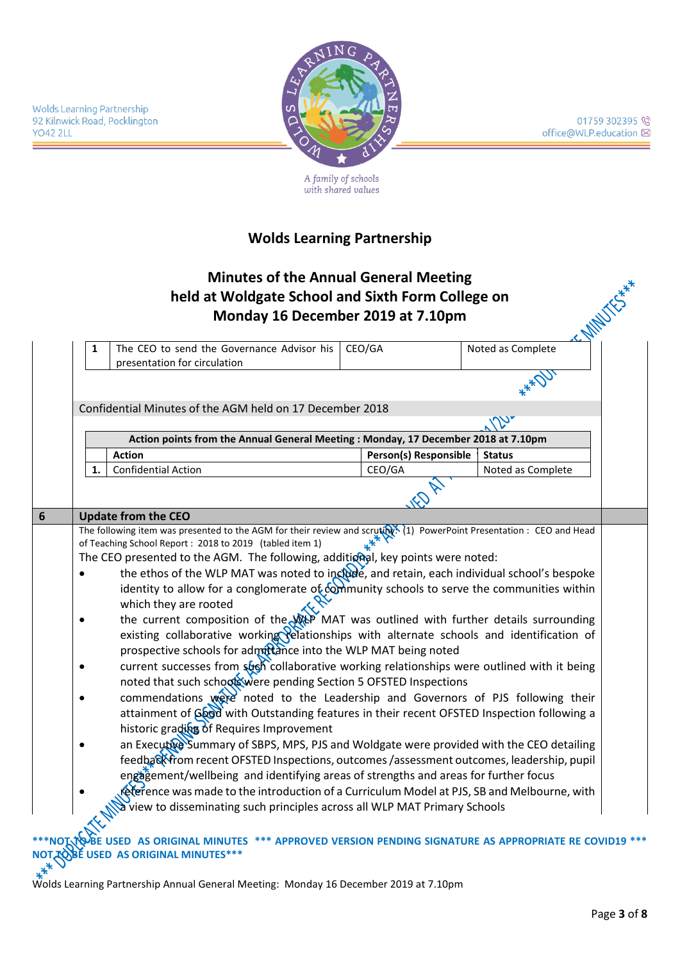

01759 302395 office@WLP.education ⊠

A family of schools<br>with shared values

# **Wolds Learning Partnership**

| The CEO to send the Governance Advisor his<br>1<br>presentation for circulation                                       | CEO/GA |                                 | <b>IN MILLIGHAM</b><br>Noted as Complete                                                    |
|-----------------------------------------------------------------------------------------------------------------------|--------|---------------------------------|---------------------------------------------------------------------------------------------|
|                                                                                                                       |        |                                 |                                                                                             |
| Confidential Minutes of the AGM held on 17 December 2018                                                              |        |                                 |                                                                                             |
|                                                                                                                       |        |                                 |                                                                                             |
| Action points from the Annual General Meeting: Monday, 17 December 2018 at 7.10pm                                     |        |                                 |                                                                                             |
| <b>Action</b><br><b>Confidential Action</b><br>1.                                                                     |        | Person(s) Responsible<br>CEO/GA | <b>Status</b><br>Noted as Complete                                                          |
|                                                                                                                       |        |                                 |                                                                                             |
|                                                                                                                       |        |                                 |                                                                                             |
| <b>Update from the CEO</b>                                                                                            |        |                                 |                                                                                             |
| The following item was presented to the AGM for their review and scruting. (1) PowerPoint Presentation : CEO and Head |        |                                 |                                                                                             |
| of Teaching School Report: 2018 to 2019 (tabled item 1)                                                               |        |                                 |                                                                                             |
| The CEO presented to the AGM. The following, additional, key points were noted:                                       |        |                                 |                                                                                             |
| the ethos of the WLP MAT was noted to include, and retain, each individual school's bespoke<br>$\bullet$              |        |                                 |                                                                                             |
| identity to allow for a conglomerate of community schools to serve the communities within                             |        |                                 |                                                                                             |
| which they are rooted                                                                                                 |        |                                 |                                                                                             |
| the current composition of the We MAT was outlined with further details surrounding<br>$\bullet$                      |        |                                 |                                                                                             |
| existing collaborative working relationships with alternate schools and identification of                             |        |                                 |                                                                                             |
| prospective schools for admittance into the WLP MAT being noted                                                       |        |                                 |                                                                                             |
| current successes from such collaborative working relationships were outlined with it being                           |        |                                 |                                                                                             |
| noted that such schools were pending Section 5 OFSTED Inspections                                                     |        |                                 |                                                                                             |
| commendations were noted to the Leadership and Governors of PJS following their                                       |        |                                 |                                                                                             |
| attainment of Good with Outstanding features in their recent OFSTED Inspection following a                            |        |                                 |                                                                                             |
| historic grading of Requires Improvement                                                                              |        |                                 |                                                                                             |
| an Executive Summary of SBPS, MPS, PJS and Woldgate were provided with the CEO detailing                              |        |                                 |                                                                                             |
| feedback from recent OFSTED Inspections, outcomes /assessment outcomes, leadership, pupil                             |        |                                 |                                                                                             |
| engagement/wellbeing and identifying areas of strengths and areas for further focus                                   |        |                                 | reference was made to the introduction of a Curriculum Model at PJS, SB and Melbourne, with |
|                                                                                                                       |        |                                 |                                                                                             |

Wolds Learning Partnership Annual General Meeting: Monday 16 December 2019 at 7.10pm

**NOT TO BE USED AS ORIGINAL MINUTES\*\*\***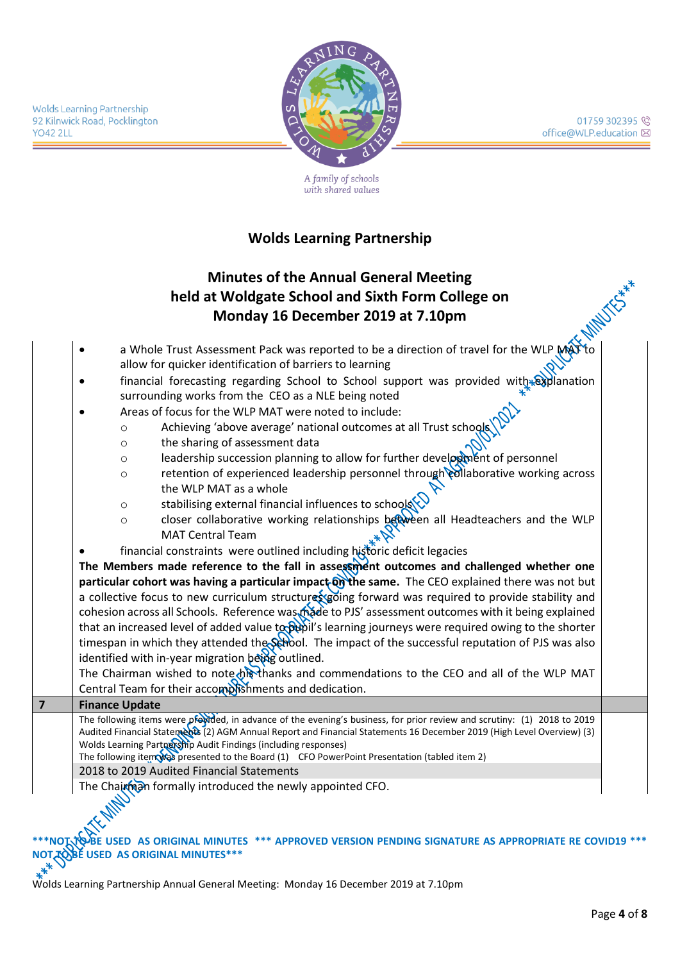01759 302395 <sup>(2)</sup> office@WLP.education ⊠

**Wolds Learning Partnership** 92 Kilnwick Road, Pocklington **YO42 2LL** 



A family of schools with shared values

# **Wolds Learning Partnership**

# **Minutes of the Annual General Meeting held at Woldgate School and Sixth Form College on Monday 16 December 2019 at 7.10pm**

a Whole Trust Assessment Pack was reported to be a direction of travel for the WLP allow for quicker identification of barriers to learning • financial forecasting regarding School to School support was provided with  $\frac{1}{x}$ surrounding works from the CEO as a NLE being noted • Areas of focus for the WLP MAT were noted to include: o Achieving 'above average' national outcomes at all Trust schools o the sharing of assessment data  $\circ$  leadership succession planning to allow for further development of personnel o retention of experienced leadership personnel through collaborative working across the WLP MAT as a whole o stabilising external financial influences to schools  $\circ$  closer collaborative working relationships between all Headteachers and the WLP MAT Central Team financial constraints were outlined including historic deficit legacies **The Members made reference to the fall in assessment outcomes and challenged whether one**  particular cohort was having a particular impact on the same. The CEO explained there was not but a collective focus to new curriculum structures going forward was required to provide stability and cohesion across all Schools. Reference was made to PJS' assessment outcomes with it being explained that an increased level of added value to  $\phi$  is learning journeys were required owing to the shorter timespan in which they attended the School. The impact of the successful reputation of PJS was also identified with in-year migration being outlined. The Chairman wished to note his thanks and commendations to the CEO and all of the WLP MAT Central Team for their accomplishments and dedication. **7 Finance Update** The following items were provided, in advance of the evening's business, for prior review and scrutiny: (1) 2018 to 2019 Audited Financial Statements (2) AGM Annual Report and Financial Statements 16 December 2019 (High Level Overview) (3) Wolds Learning Partnership Audit Findings (including responses) The following item was presented to the Board  $(1)$  CFO PowerPoint Presentation (tabled item 2) 2018 to 2019 Audited Financial Statements Chairman formally introduced the newly appointed CFO.

**FOR AS ORIGINAL MINUTES \*\*\* APPROVED VERSION PENDING SIGNATURE AS APPROPRIATE RE COVID19 \*\*\* NOT TO BE USED AS ORIGINAL MINUTES\*\*\***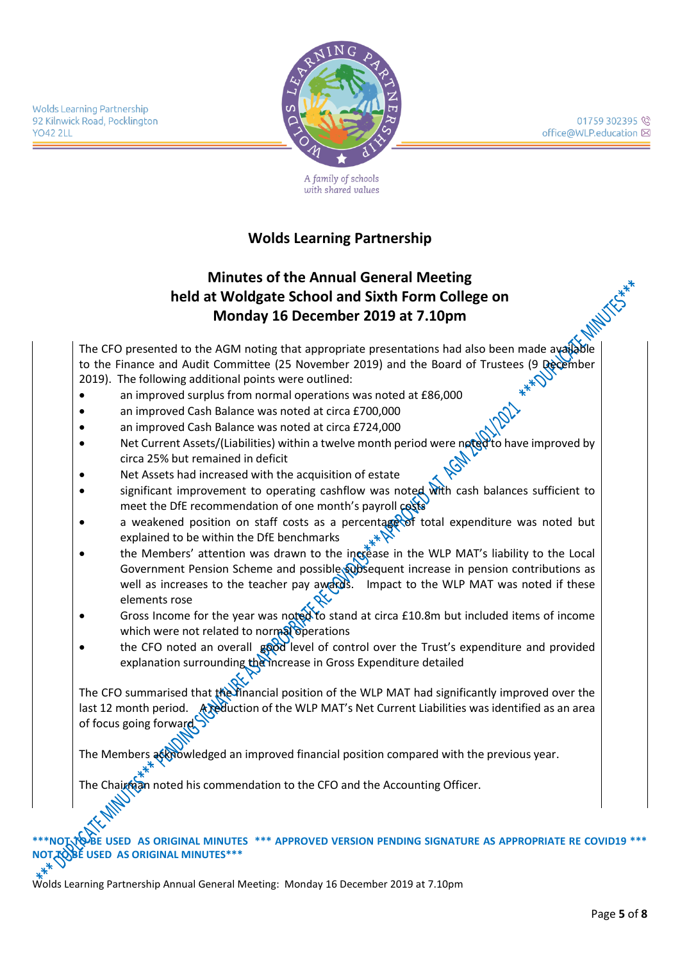01759 302395 <sup>(2)</sup> office@WLP.education ⊠

**Wolds Learning Partnership** 92 Kilnwick Road, Pocklington **YO42 2LL** 



A family of schools with shared values

# **Wolds Learning Partnership**

# **Minutes of the Annual General Meeting held at Woldgate School and Sixth Form College on Monday 16 December 2019 at 7.10pm**

The CFO presented to the AGM noting that appropriate presentations had also been made available to the Finance and Audit Committee (25 November 2019) and the Board of Trustees (9 December 2019). The following additional points were outlined:

- an improved surplus from normal operations was noted at £86,000
- an improved Cash Balance was noted at circa £700,000
- an improved Cash Balance was noted at circa £724,000
- Net Current Assets/(Liabilities) within a twelve month period were noted to have improved by circa 25% but remained in deficit
- Net Assets had increased with the acquisition of estate
- significant improvement to operating cashflow was noted with cash balances sufficient to meet the DfE recommendation of one month's payroll costs
- a weakened position on staff costs as a percentage of total expenditure was noted but explained to be within the DfE benchmarks
- the Members' attention was drawn to the increase in the WLP MAT's liability to the Local Government Pension Scheme and possible subsequent increase in pension contributions as well as increases to the teacher pay awards. Impact to the WLP MAT was noted if these elements rose
- Gross Income for the year was noted to stand at circa £10.8m but included items of income which were not related to normal operations
- the CFO noted an overall good level of control over the Trust's expenditure and provided explanation surrounding the increase in Gross Expenditure detailed

The CFO summarised that the financial position of the WLP MAT had significantly improved over the last 12 month period. A reduction of the WLP MAT's Net Current Liabilities was identified as an area of focus going forward

The Members acknowledged an improved financial position compared with the previous year.

airman noted his commendation to the CFO and the Accounting Officer.

#### USED AS ORIGINAL MINUTES \*\*\* APPROVED VERSION PENDING SIGNATURE AS APPROPRIATE RE COVID19 \*\*\* **NOT TO BE USED AS ORIGINAL MINUTES\*\*\***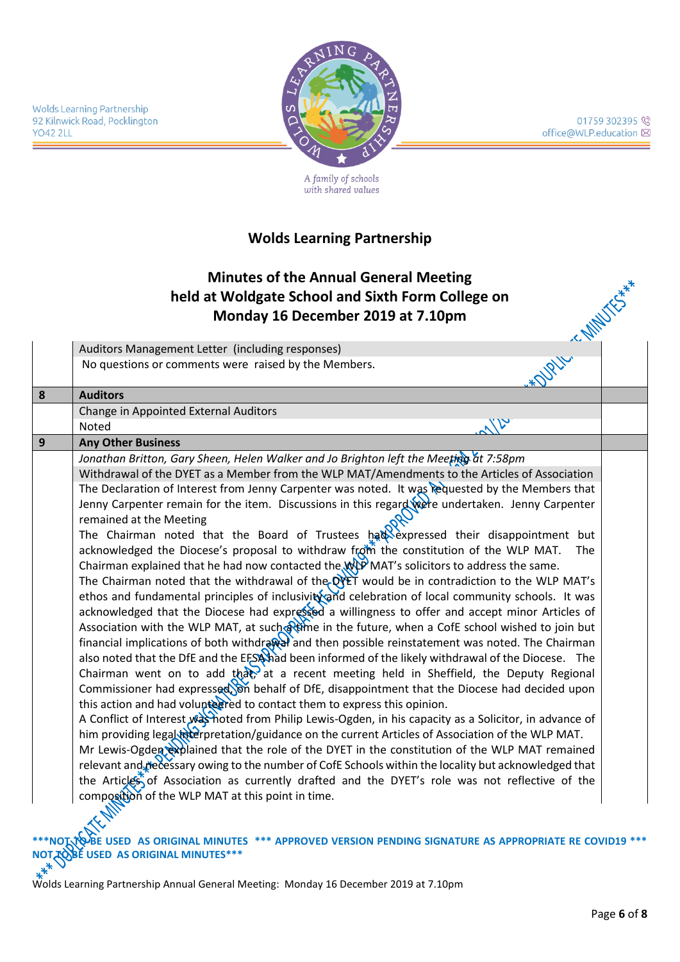

01759 302395 office@WLP.education ⊠

A family of schools with shared values

#### **Wolds Learning Partnership**

#### **Minutes of the Annual General Meeting held at Woldgate School and Sixth Form College on Monday 16 December 2019 at 7.10pm**

|              | Auditors Management Letter (including responses)                                                                            |  |
|--------------|-----------------------------------------------------------------------------------------------------------------------------|--|
|              | *OURLLY CAMBUCK ***<br>No questions or comments were raised by the Members.                                                 |  |
| $\pmb{8}$    | <b>Auditors</b>                                                                                                             |  |
|              | Change in Appointed External Auditors                                                                                       |  |
|              | $3\%$<br>Noted                                                                                                              |  |
| $\mathbf{9}$ | <b>Any Other Business</b>                                                                                                   |  |
|              | Jonathan Britton, Gary Sheen, Helen Walker and Jo Brighton left the Meeting at 7:58pm                                       |  |
|              | Withdrawal of the DYET as a Member from the WLP MAT/Amendments to the Articles of Association                               |  |
|              | The Declaration of Interest from Jenny Carpenter was noted. It was requested by the Members that                            |  |
|              | Jenny Carpenter remain for the item. Discussions in this regard were undertaken. Jenny Carpenter<br>remained at the Meeting |  |
|              | The Chairman noted that the Board of Trustees had expressed their disappointment but                                        |  |
|              | acknowledged the Diocese's proposal to withdraw from the constitution of the WLP MAT.<br>The                                |  |
|              | Chairman explained that he had now contacted the WP MAT's solicitors to address the same.                                   |  |
|              | The Chairman noted that the withdrawal of the DYET would be in contradiction to the WLP MAT's                               |  |
|              | ethos and fundamental principles of inclusivity and celebration of local community schools. It was                          |  |
|              | acknowledged that the Diocese had expressed a willingness to offer and accept minor Articles of                             |  |
|              | Association with the WLP MAT, at such Rime in the future, when a CofE school wished to join but                             |  |
|              | financial implications of both withdrawal and then possible reinstatement was noted. The Chairman                           |  |
|              | also noted that the DfE and the EFSA had been informed of the likely withdrawal of the Diocese. The                         |  |
|              | Chairman went on to add that, at a recent meeting held in Sheffield, the Deputy Regional                                    |  |
|              | Commissioner had expressed, on behalf of DfE, disappointment that the Diocese had decided upon                              |  |
|              | this action and had volupteered to contact them to express this opinion.                                                    |  |
|              | A Conflict of Interest was hoted from Philip Lewis-Ogden, in his capacity as a Solicitor, in advance of                     |  |
|              | him providing legal wierpretation/guidance on the current Articles of Association of the WLP MAT.                           |  |
|              | Mr Lewis-Ogden explained that the role of the DYET in the constitution of the WLP MAT remained                              |  |
|              | relevant and recessary owing to the number of CofE Schools within the locality but acknowledged that                        |  |
|              | the Articles of Association as currently drafted and the DYET's role was not reflective of the                              |  |
|              | composition of the WLP MAT at this point in time.                                                                           |  |

**\*\*\*NOT TO BE USED AS ORIGINAL MINUTES \*\*\* APPROVED VERSION PENDING SIGNATURE AS APPROPRIATE RE COVID19 \*\*\* NOT TO BE USED AS ORIGINAL MINUTES\*\*\***<br>  $*^{*^*}$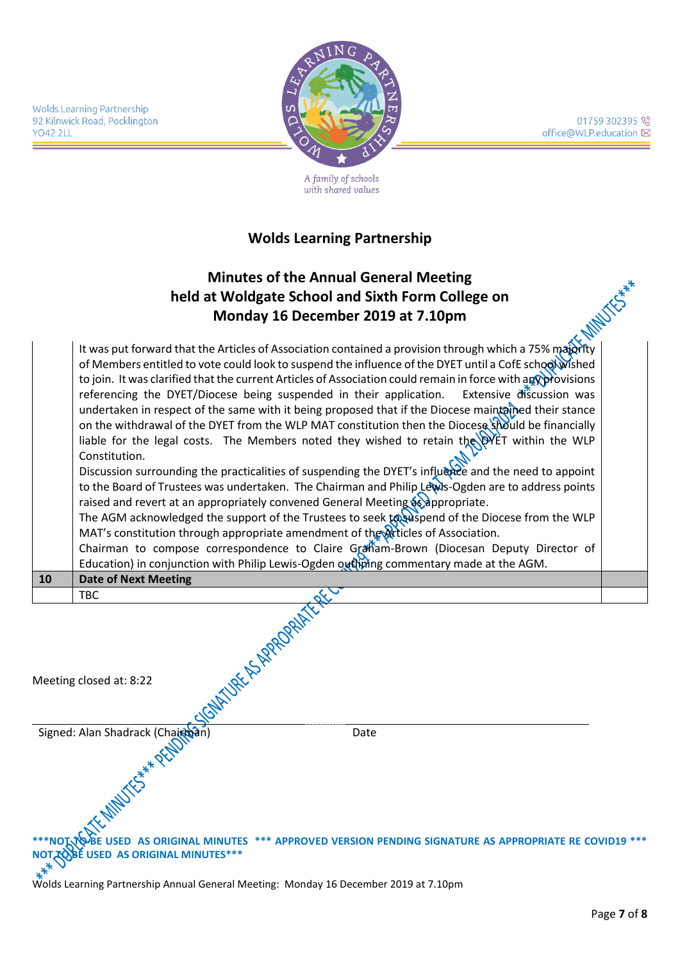01759 302395 <sup>(2)</sup> office@WLP.education ⊠

**Wolds Learning Partnership** 92 Kilnwick Road, Pocklington **YO42 2LL** 



A family of schools with shared values

# **Wolds Learning Partnership**

# **Minutes of the Annual General Meeting held at Woldgate School and Sixth Form College on Monday 16 December 2019 at 7.10pm**

It was put forward that the Articles of Association contained a provision through which a 75% majority of Members entitled to vote could look to suspend the influence of the DYET until a CofE school wished to join. It was clarified that the current Articles of Association could remain in force with any provisions referencing the DYET/Diocese being suspended in their application. Extensive discussion was undertaken in respect of the same with it being proposed that if the Diocese maintained their stance on the withdrawal of the DYET from the WLP MAT constitution then the Diocese should be financially liable for the legal costs. The Members noted they wished to retain the DYET within the WLP Constitution. Discussion surrounding the practicalities of suspending the DYET's influence and the need to appoint to the Board of Trustees was undertaken. The Chairman and Philip Lewis-Ogden are to address points

raised and revert at an appropriately convened General Meeting as appropriate. The AGM acknowledged the support of the Trustees to seek to seek to spend of the Diocese from the WLP

MAT's constitution through appropriate amendment of the Articles of Association.

Chairman to compose correspondence to Claire Graham-Brown (Diocesan Deputy Director of Education) in conjunction with Philip Lewis-Ogden outliming commentary made at the AGM.

**10 Date of Next Meeting** TBC

| <b>KONTAINER SURPROPERTY</b>       |                                                                                                      |
|------------------------------------|------------------------------------------------------------------------------------------------------|
| Meeting closed at: 8:22            |                                                                                                      |
|                                    |                                                                                                      |
|                                    | Date                                                                                                 |
| Signed: Alan Shadrack (Chairman)   |                                                                                                      |
|                                    | ***NOITOBE USED AS ORIGINAL MINUTES *** APPROVED VERSION PENDING SIGNATURE AS APPROPRIATE RE COVID19 |
| WOT TO BE USED AS ORIGINAL MINUTES |                                                                                                      |

Wolds Learning Partnership Annual General Meeting: Monday 16 December 2019 at 7.10pm